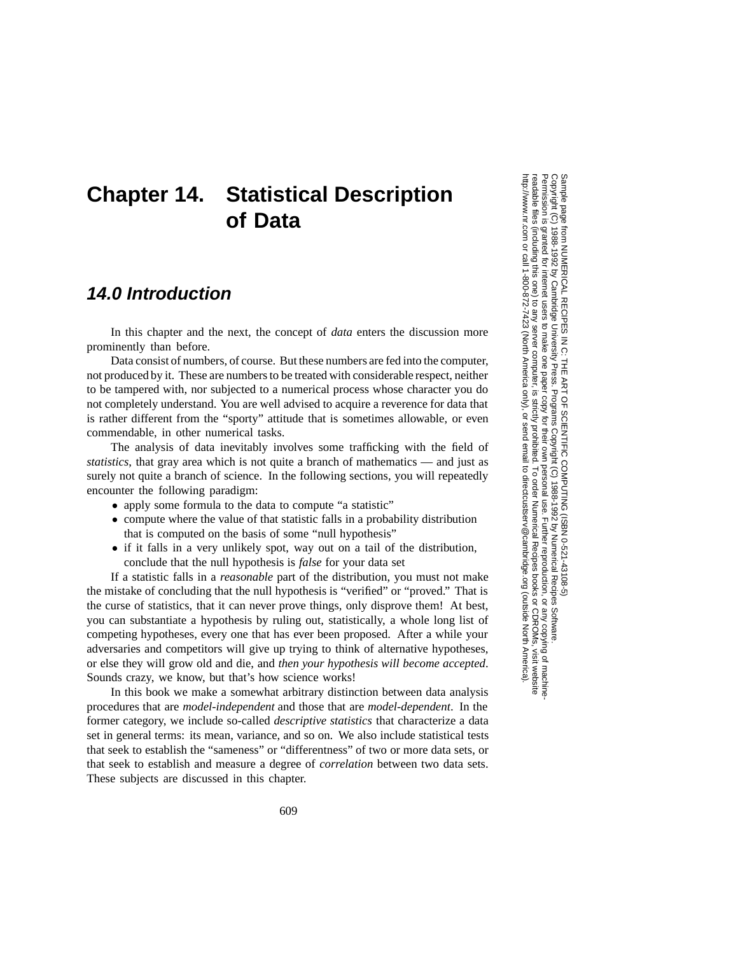## **Chapter 14. Statistical Description of Data**

## **14.0 Introduction**

In this chapter and the next, the concept of *data* enters the discussion more prominently than before.

Data consist of numbers, of course. But these numbers are fed into the computer, not produced by it. These are numbers to be treated with considerable respect, neither to be tampered with, nor subjected to a numerical process whose character you do not completely understand. You are well advised to acquire a reverence for data that is rather different from the "sporty" attitude that is sometimes allowable, or even commendable, in other numerical tasks.

The analysis of data inevitably involves some trafficking with the field of *statistics*, that gray area which is not quite a branch of mathematics — and just as surely not quite a branch of science. In the following sections, you will repeatedly encounter the following paradigm:

- apply some formula to the data to compute "a statistic"
- compute where the value of that statistic falls in a probability distribution that is computed on the basis of some "null hypothesis"
- if it falls in a very unlikely spot, way out on a tail of the distribution, conclude that the null hypothesis is *false* for your data set

If a statistic falls in a *reasonable* part of the distribution, you must not make the mistake of concluding that the null hypothesis is "verified" or "proved." That is the curse of statistics, that it can never prove things, only disprove them! At best, you can substantiate a hypothesis by ruling out, statistically, a whole long list of competing hypotheses, every one that has ever been proposed. After a while your adversaries and competitors will give up trying to think of alternative hypotheses, or else they will grow old and die, and *then your hypothesis will become accepted*. Sounds crazy, we know, but that's how science works!

In this book we make a somewhat arbitrary distinction between data analysis procedures that are *model-independent* and those that are *model-dependent*. In the former category, we include so-called *descriptive statistics* that characterize a data set in general terms: its mean, variance, and so on. We also include statistical tests that seek to establish the "sameness" or "differentness" of two or more data sets, or that seek to establish and measure a degree of *correlation* between two data sets. These subjects are discussed in this chapter.

Sample page from NUMERICAL RECIPES IN<br>Copyright (C) 1988-1992 by Cambridge Unive http://www.nr.com or call 1-800-872-7423 (North America only),readable files (including this one) to any serverPermission is granted for internet users to make one paper copy for their own personal use. Further reproduction, or any copyin Copyright (C) 1988-1992 by Cambridge University Press.Sample page from NUMERICAL RECIPES IN C: THE ART OF SCIENTIFIC COMPUTING (ISBN 0-521-43108-5) 1988-1992 by Cambridge University Press. Programs Copyright (C) 1988-1992 by Numerical  $\overline{6}$ computer, is strictly prohibited. To order Numerical Recipes booksTHE ART OF SCIENTIFIC COMPUTING (ISBN 0-521-43108-5) Programs Copyright (C) 1988-1992 by Numerical Recipes Software. or send email to directcustserv@cambridge.org (outside North America). Recipes Software. or CDROMs, visit website g of machine-